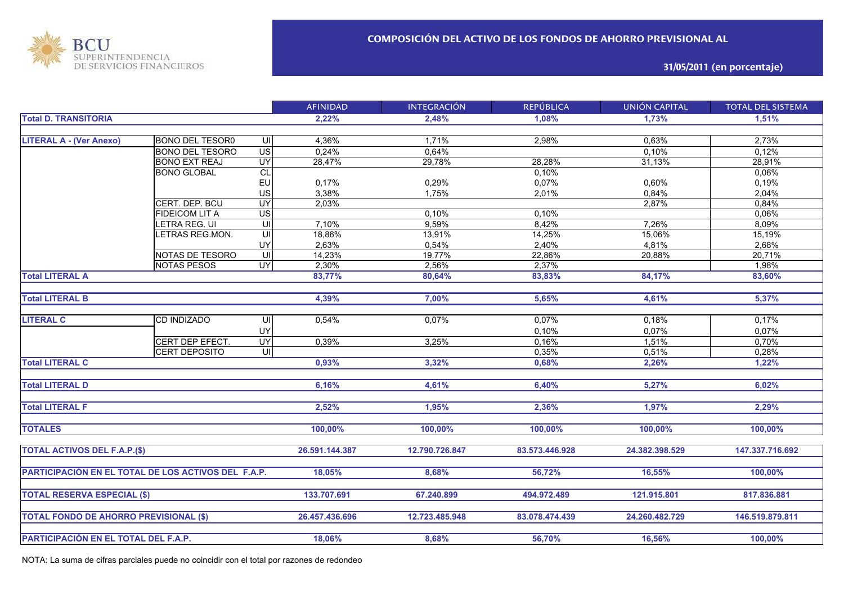

**31/05/2011 (en porcentaje)**

|                                                     |                        |                | <b>AFINIDAD</b> | <b>INTEGRACIÓN</b> | <b>REPÚBLICA</b> | <b>UNIÓN CAPITAL</b> | <b>TOTAL DEL SISTEMA</b> |
|-----------------------------------------------------|------------------------|----------------|-----------------|--------------------|------------------|----------------------|--------------------------|
| <b>Total D. TRANSITORIA</b>                         |                        |                | 2,22%           | 2,48%              | 1,08%            | 1,73%                | 1,51%                    |
|                                                     |                        |                |                 |                    |                  |                      |                          |
| <b>LITERAL A - (Ver Anexo)</b>                      | <b>BONO DEL TESOR0</b> | UI             | 4,36%           | 1,71%              | 2,98%            | 0,63%                | 2,73%                    |
|                                                     | <b>BONO DEL TESORO</b> | $\overline{S}$ | 0,24%           | 0,64%              |                  | 0,10%                | 0,12%                    |
|                                                     | <b>BONO EXT REAJ</b>   | UY             | 28,47%          | 29,78%             | 28,28%           | 31,13%               | 28,91%                   |
|                                                     | <b>BONO GLOBAL</b>     | <b>CL</b>      |                 |                    | 0,10%            |                      | 0,06%                    |
|                                                     |                        | EU             | 0,17%           | 0,29%              | 0,07%            | 0,60%                | 0,19%                    |
|                                                     |                        | US             | 3,38%           | 1,75%              | 2,01%            | 0,84%                | 2,04%                    |
|                                                     | CERT. DEP. BCU         | UY             | 2,03%           |                    |                  | 2,87%                | 0,84%                    |
|                                                     | <b>FIDEICOM LIT A</b>  | US             |                 | 0.10%              | 0,10%            |                      | 0,06%                    |
|                                                     | LETRA REG. UI          | $\overline{U}$ | 7,10%           | 9,59%              | 8,42%            | 7,26%                | 8,09%                    |
|                                                     | LETRAS REG.MON.        | UI             | 18,86%          | 13,91%             | 14,25%           | 15,06%               | 15,19%                   |
|                                                     |                        | UY             | 2,63%           | 0,54%              | 2,40%            | 4,81%                | 2,68%                    |
|                                                     | NOTAS DE TESORO        | $\overline{u}$ | 14,23%          | 19,77%             | 22,86%           | 20,88%               | 20,71%                   |
|                                                     | <b>NOTAS PESOS</b>     | <b>UY</b>      | 2,30%           | 2,56%              | 2,37%            |                      | 1,98%                    |
| <b>Total LITERAL A</b>                              |                        |                | 83,77%          | 80,64%             | 83,83%           | 84,17%               | 83,60%                   |
|                                                     |                        |                |                 |                    |                  |                      |                          |
| <b>Total LITERAL B</b>                              |                        |                | 4,39%           | 7,00%              | 5,65%            | 4,61%                | 5,37%                    |
|                                                     |                        |                |                 |                    |                  |                      |                          |
| <b>LITERAL C</b>                                    | CD INDIZADO            | UI             | 0.54%           | 0.07%              | 0,07%            | 0,18%                | 0,17%                    |
|                                                     |                        | UY             |                 |                    | 0,10%            | 0,07%                | 0,07%                    |
|                                                     | CERT DEP EFECT.        | UY             | 0,39%           | 3,25%              | 0,16%            | 1,51%                | 0,70%                    |
|                                                     | <b>CERT DEPOSITO</b>   | $\overline{U}$ |                 |                    | 0,35%            | 0,51%                | 0,28%                    |
| <b>Total LITERAL C</b>                              |                        |                | 0,93%           | 3,32%              | 0,68%            | 2,26%                | 1,22%                    |
|                                                     |                        |                |                 |                    |                  |                      |                          |
| <b>Total LITERAL D</b>                              |                        |                | 6,16%           | 4,61%              | 6,40%            | 5,27%                | 6,02%                    |
|                                                     |                        |                |                 |                    |                  |                      |                          |
| <b>Total LITERAL F</b>                              |                        |                | 2,52%           | 1,95%              | 2,36%            | 1,97%                | 2,29%                    |
|                                                     |                        |                |                 |                    |                  |                      |                          |
| <b>TOTALES</b>                                      |                        |                | 100,00%         | 100,00%            | 100,00%          | 100,00%              | 100,00%                  |
|                                                     |                        |                |                 |                    |                  |                      |                          |
| <b>TOTAL ACTIVOS DEL F.A.P.(\$)</b>                 |                        | 26.591.144.387 | 12.790.726.847  | 83.573.446.928     | 24.382.398.529   | 147.337.716.692      |                          |
|                                                     |                        |                |                 |                    |                  |                      |                          |
| PARTICIPACIÓN EN EL TOTAL DE LOS ACTIVOS DEL F.A.P. |                        |                | 18.05%          | 8,68%              | 56,72%           | 16,55%               | 100,00%                  |
|                                                     |                        |                |                 |                    |                  |                      |                          |
| <b>TOTAL RESERVA ESPECIAL (\$)</b>                  |                        |                | 133.707.691     | 67.240.899         | 494.972.489      | 121.915.801          | 817.836.881              |
|                                                     |                        |                |                 |                    |                  |                      |                          |
|                                                     |                        |                | 26.457.436.696  | 12.723.485.948     | 83.078.474.439   | 24.260.482.729       | 146.519.879.811          |
| <b>TOTAL FONDO DE AHORRO PREVISIONAL (\$)</b>       |                        |                |                 |                    |                  |                      |                          |
|                                                     |                        |                |                 |                    |                  |                      |                          |
| PARTICIPACIÓN EN EL TOTAL DEL F.A.P.                |                        |                | 18,06%          | 8,68%              | 56,70%           | 16,56%               | 100,00%                  |

NOTA: La suma de cifras parciales puede no coincidir con el total por razones de redondeo